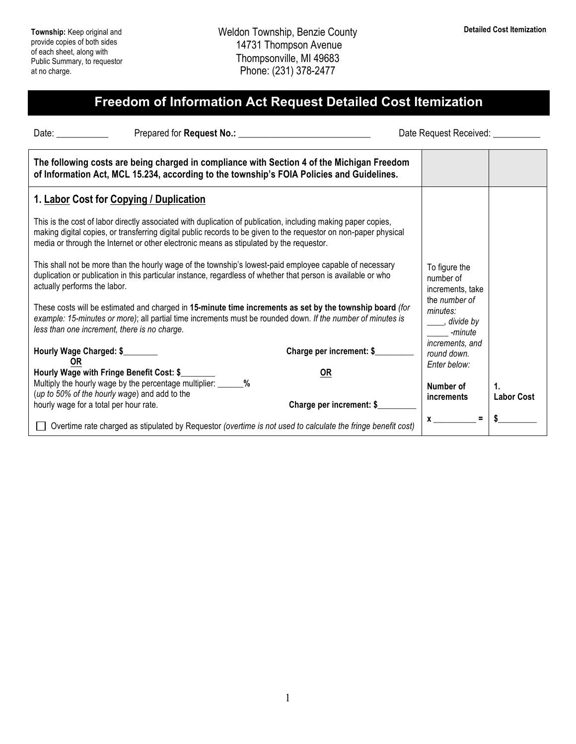## **Freedom of Information Act Request Detailed Cost Itemization**

Date: \_\_\_\_\_\_\_\_\_\_\_\_\_\_\_ Prepared for **Request No.:** \_\_\_\_\_\_\_\_\_\_\_\_\_\_\_\_\_\_\_\_\_\_\_\_\_\_\_\_\_\_\_\_ Date Request Received: \_\_\_\_\_\_\_\_\_\_

| The following costs are being charged in compliance with Section 4 of the Michigan Freedom<br>of Information Act, MCL 15.234, according to the township's FOIA Policies and Guidelines.                                                                                                                                      |                                                |
|------------------------------------------------------------------------------------------------------------------------------------------------------------------------------------------------------------------------------------------------------------------------------------------------------------------------------|------------------------------------------------|
| 1. Labor Cost for Copying / Duplication                                                                                                                                                                                                                                                                                      |                                                |
| This is the cost of labor directly associated with duplication of publication, including making paper copies,<br>making digital copies, or transferring digital public records to be given to the requestor on non-paper physical<br>media or through the Internet or other electronic means as stipulated by the requestor. |                                                |
| This shall not be more than the hourly wage of the township's lowest-paid employee capable of necessary<br>duplication or publication in this particular instance, regardless of whether that person is available or who<br>actually performs the labor.                                                                     | To figure the<br>number of<br>increments, take |
| These costs will be estimated and charged in 15-minute time increments as set by the township board (for<br>example: 15-minutes or more); all partial time increments must be rounded down. If the number of minutes is                                                                                                      | the number of<br>minutes:<br>divide by         |

| example: 15-minutes or more); all partial time increments must be rounded down. If the number of minutes is<br>less than one increment, there is no charge. |                          | divide by<br>-minute                           |                   |
|-------------------------------------------------------------------------------------------------------------------------------------------------------------|--------------------------|------------------------------------------------|-------------------|
| Hourly Wage Charged: \$                                                                                                                                     | Charge per increment: \$ | increments, and<br>round down.<br>Enter below: |                   |
| Hourly Wage with Fringe Benefit Cost: \$                                                                                                                    | <u>OR</u>                |                                                |                   |
| Multiply the hourly wage by the percentage multiplier:<br>$\%$                                                                                              |                          | Number of                                      |                   |
| (up to 50% of the hourly wage) and add to the<br>hourly wage for a total per hour rate.                                                                     | Charge per increment: \$ | increments                                     | <b>Labor Cost</b> |
| Overtime rate charged as stipulated by Requestor (overtime is not used to calculate the fringe benefit cost)                                                |                          | Ξ                                              |                   |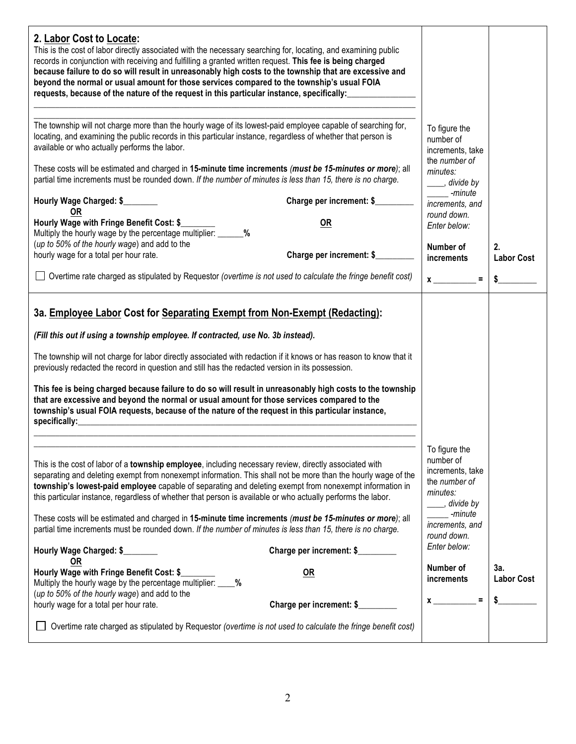| 2. Labor Cost to Locate:<br>This is the cost of labor directly associated with the necessary searching for, locating, and examining public<br>records in conjunction with receiving and fulfilling a granted written request. This fee is being charged<br>because failure to do so will result in unreasonably high costs to the township that are excessive and<br>beyond the normal or usual amount for those services compared to the township's usual FOIA<br>requests, because of the nature of the request in this particular instance, specifically:                                                                                                                                                                |                                                                                                                                          |                         |
|-----------------------------------------------------------------------------------------------------------------------------------------------------------------------------------------------------------------------------------------------------------------------------------------------------------------------------------------------------------------------------------------------------------------------------------------------------------------------------------------------------------------------------------------------------------------------------------------------------------------------------------------------------------------------------------------------------------------------------|------------------------------------------------------------------------------------------------------------------------------------------|-------------------------|
| The township will not charge more than the hourly wage of its lowest-paid employee capable of searching for,<br>locating, and examining the public records in this particular instance, regardless of whether that person is<br>available or who actually performs the labor.                                                                                                                                                                                                                                                                                                                                                                                                                                               | To figure the<br>number of<br>increments, take<br>the number of                                                                          |                         |
| These costs will be estimated and charged in 15-minute time increments (must be 15-minutes or more); all<br>partial time increments must be rounded down. If the number of minutes is less than 15, there is no charge.                                                                                                                                                                                                                                                                                                                                                                                                                                                                                                     | minutes:<br>____, divide by<br>-minute                                                                                                   |                         |
| Charge per increment: \$<br>Hourly Wage Charged: \$<br><b>OR</b>                                                                                                                                                                                                                                                                                                                                                                                                                                                                                                                                                                                                                                                            | increments, and<br>round down.                                                                                                           |                         |
| Hourly Wage with Fringe Benefit Cost: \$<br><b>OR</b><br>Multiply the hourly wage by the percentage multiplier: ______%                                                                                                                                                                                                                                                                                                                                                                                                                                                                                                                                                                                                     | Enter below:                                                                                                                             |                         |
| (up to 50% of the hourly wage) and add to the<br>Charge per increment: \$<br>hourly wage for a total per hour rate.                                                                                                                                                                                                                                                                                                                                                                                                                                                                                                                                                                                                         | Number of<br>increments                                                                                                                  | 2.<br><b>Labor Cost</b> |
| Overtime rate charged as stipulated by Requestor (overtime is not used to calculate the fringe benefit cost)                                                                                                                                                                                                                                                                                                                                                                                                                                                                                                                                                                                                                | $\equiv$<br>$x \overline{\phantom{a}}$                                                                                                   | S                       |
| 3a. Employee Labor Cost for Separating Exempt from Non-Exempt (Redacting):<br>(Fill this out if using a township employee. If contracted, use No. 3b instead).<br>The township will not charge for labor directly associated with redaction if it knows or has reason to know that it<br>previously redacted the record in question and still has the redacted version in its possession.<br>This fee is being charged because failure to do so will result in unreasonably high costs to the township<br>that are excessive and beyond the normal or usual amount for those services compared to the<br>township's usual FOIA requests, because of the nature of the request in this particular instance,<br>specifically: |                                                                                                                                          |                         |
| This is the cost of labor of a township employee, including necessary review, directly associated with<br>separating and deleting exempt from nonexempt information. This shall not be more than the hourly wage of the<br>township's lowest-paid employee capable of separating and deleting exempt from nonexempt information in<br>this particular instance, regardless of whether that person is available or who actually performs the labor.<br>These costs will be estimated and charged in 15-minute time increments (must be 15-minutes or more); all<br>partial time increments must be rounded down. If the number of minutes is less than 15, there is no charge.                                               | To figure the<br>number of<br>increments, take<br>the number of<br>minutes:<br>stativide by<br>-minute<br>increments, and<br>round down. |                         |
| Charge per increment: \$<br>Hourly Wage Charged: \$<br><b>OR</b>                                                                                                                                                                                                                                                                                                                                                                                                                                                                                                                                                                                                                                                            | Enter below:<br>Number of                                                                                                                | 3a.                     |
| Hourly Wage with Fringe Benefit Cost: \$<br><b>OR</b><br>Multiply the hourly wage by the percentage multiplier: ____%<br>(up to 50% of the hourly wage) and add to the<br>Charge per increment: \$<br>hourly wage for a total per hour rate.                                                                                                                                                                                                                                                                                                                                                                                                                                                                                | increments<br>$\equiv$<br>$x \overline{\phantom{a}}$                                                                                     | <b>Labor Cost</b>       |
| Overtime rate charged as stipulated by Requestor (overtime is not used to calculate the fringe benefit cost)                                                                                                                                                                                                                                                                                                                                                                                                                                                                                                                                                                                                                |                                                                                                                                          |                         |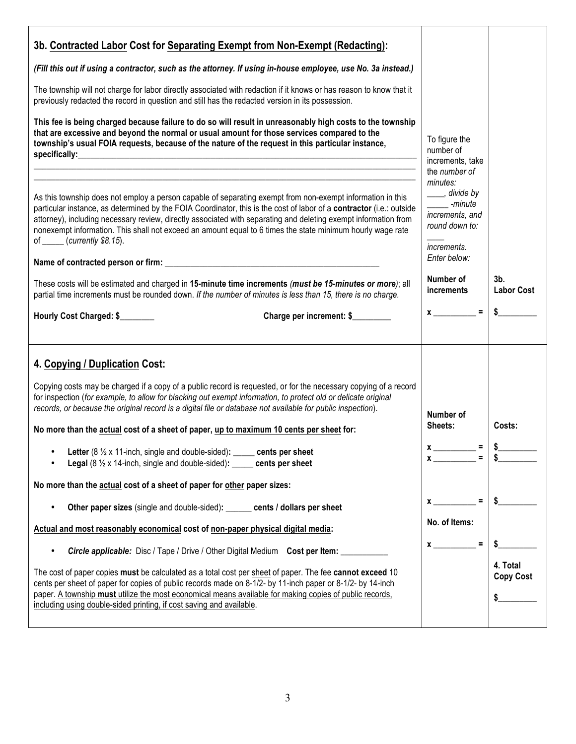| 3b. Contracted Labor Cost for Separating Exempt from Non-Exempt (Redacting):<br>(Fill this out if using a contractor, such as the attorney. If using in-house employee, use No. 3a instead.)<br>The township will not charge for labor directly associated with redaction if it knows or has reason to know that it<br>previously redacted the record in question and still has the redacted version in its possession.<br>This fee is being charged because failure to do so will result in unreasonably high costs to the township<br>that are excessive and beyond the normal or usual amount for those services compared to the<br>township's usual FOIA requests, because of the nature of the request in this particular instance,                                                                                | To figure the                                                                                                                                                                                         |                              |
|-------------------------------------------------------------------------------------------------------------------------------------------------------------------------------------------------------------------------------------------------------------------------------------------------------------------------------------------------------------------------------------------------------------------------------------------------------------------------------------------------------------------------------------------------------------------------------------------------------------------------------------------------------------------------------------------------------------------------------------------------------------------------------------------------------------------------|-------------------------------------------------------------------------------------------------------------------------------------------------------------------------------------------------------|------------------------------|
| As this township does not employ a person capable of separating exempt from non-exempt information in this<br>particular instance, as determined by the FOIA Coordinator, this is the cost of labor of a contractor (i.e.: outside<br>attorney), including necessary review, directly associated with separating and deleting exempt information from<br>nonexempt information. This shall not exceed an amount equal to 6 times the state minimum hourly wage rate<br>of $\frac{\cdot}{\cdot}$ (currently \$8.15).<br>These costs will be estimated and charged in 15-minute time increments (must be 15-minutes or more); all<br>partial time increments must be rounded down. If the number of minutes is less than 15, there is no charge.                                                                          | number of<br>increments, take<br>the number of<br>minutes:<br>____, divide by<br>-minute<br>increments, and<br>round down to:<br><i>increments.</i><br>Enter below:<br>Number of<br><b>increments</b> | $3b$ .<br><b>Labor Cost</b>  |
| Hourly Cost Charged: \$<br>Charge per increment: \$                                                                                                                                                                                                                                                                                                                                                                                                                                                                                                                                                                                                                                                                                                                                                                     | $x \overline{\phantom{a}} =$                                                                                                                                                                          | \$                           |
| 4. Copying / Duplication Cost:<br>Copying costs may be charged if a copy of a public record is requested, or for the necessary copying of a record<br>for inspection (for example, to allow for blacking out exempt information, to protect old or delicate original<br>records, or because the original record is a digital file or database not available for public inspection).<br>No more than the actual cost of a sheet of paper, up to maximum 10 cents per sheet for:<br>Letter (8 1/2 x 11-inch, single and double-sided): _____ cents per sheet<br>٠<br><b>Legal</b> ( $8\frac{1}{2}$ x 14-inch, single and double-sided): _____ cents per sheet<br>No more than the actual cost of a sheet of paper for other paper sizes:<br>Other paper sizes (single and double-sided): ______ cents / dollars per sheet | Number of<br>Sheets:<br>$x \overline{\phantom{a}}$<br>$\mathbf{r}$<br>$\equiv$<br>No. of Items:                                                                                                       | Costs:                       |
| Actual and most reasonably economical cost of non-paper physical digital media:<br><b>Circle applicable:</b> Disc / Tape / Drive / Other Digital Medium Cost per Item:<br>$\bullet$<br>The cost of paper copies must be calculated as a total cost per sheet of paper. The fee cannot exceed 10<br>cents per sheet of paper for copies of public records made on 8-1/2- by 11-inch paper or 8-1/2- by 14-inch<br>paper. A township must utilize the most economical means available for making copies of public records,<br>including using double-sided printing, if cost saving and available.                                                                                                                                                                                                                        | $\equiv$<br>$\mathbf x$                                                                                                                                                                               | 4. Total<br><b>Copy Cost</b> |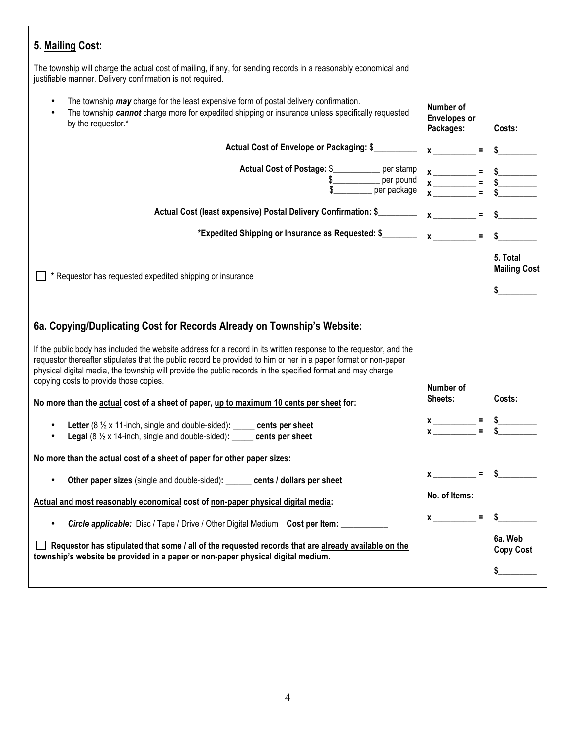| 5. Mailing Cost:                                                                                                                                                                                                                                                                                                                                                                               |                                               |                                                   |
|------------------------------------------------------------------------------------------------------------------------------------------------------------------------------------------------------------------------------------------------------------------------------------------------------------------------------------------------------------------------------------------------|-----------------------------------------------|---------------------------------------------------|
| The township will charge the actual cost of mailing, if any, for sending records in a reasonably economical and<br>justifiable manner. Delivery confirmation is not required.                                                                                                                                                                                                                  |                                               |                                                   |
| The township may charge for the least expensive form of postal delivery confirmation.<br>The township cannot charge more for expedited shipping or insurance unless specifically requested<br>by the requestor.*                                                                                                                                                                               | Number of<br><b>Envelopes or</b><br>Packages: | Costs:                                            |
| Actual Cost of Envelope or Packaging: \$                                                                                                                                                                                                                                                                                                                                                       | $x =$                                         |                                                   |
| Actual Cost of Postage: \$___________ per stamp<br>\$___________________ per pound<br>per package                                                                                                                                                                                                                                                                                              |                                               | $\begin{array}{c}\n\text{S}\n\hline\n\end{array}$ |
| Actual Cost (least expensive) Postal Delivery Confirmation: \$                                                                                                                                                                                                                                                                                                                                 | $x \overline{\phantom{a}} =$                  |                                                   |
| *Expedited Shipping or Insurance as Requested: \$________ $\mid x \mid$                                                                                                                                                                                                                                                                                                                        | $\equiv$                                      | s                                                 |
| * Requestor has requested expedited shipping or insurance                                                                                                                                                                                                                                                                                                                                      |                                               | 5. Total<br><b>Mailing Cost</b><br>$\sim$         |
| 6a. Copying/Duplicating Cost for Records Already on Township's Website:                                                                                                                                                                                                                                                                                                                        |                                               |                                                   |
| If the public body has included the website address for a record in its written response to the requestor, and the<br>requestor thereafter stipulates that the public record be provided to him or her in a paper format or non-paper<br>physical digital media, the township will provide the public records in the specified format and may charge<br>copying costs to provide those copies. |                                               |                                                   |
| No more than the actual cost of a sheet of paper, up to maximum 10 cents per sheet for:                                                                                                                                                                                                                                                                                                        | Number of<br>Sheets:                          | Costs:                                            |
| Letter (8 $\frac{1}{2}$ x 11-inch, single and double-sided): _____ cents per sheet<br>Legal (8 1/2 x 14-inch, single and double-sided): _____ cents per sheet                                                                                                                                                                                                                                  | $\boldsymbol{x}$                              |                                                   |
| No more than the actual cost of a sheet of paper for other paper sizes:                                                                                                                                                                                                                                                                                                                        |                                               |                                                   |
| Other paper sizes (single and double-sided): ______ cents / dollars per sheet                                                                                                                                                                                                                                                                                                                  | $\equiv$<br>$x$ <sub>____</sub>               | \$                                                |
| Actual and most reasonably economical cost of non-paper physical digital media:                                                                                                                                                                                                                                                                                                                | No. of Items:                                 |                                                   |
| <b>Circle applicable:</b> Disc / Tape / Drive / Other Digital Medium Cost per Item:                                                                                                                                                                                                                                                                                                            | $\equiv$<br>$\mathbf x$                       |                                                   |
| Requestor has stipulated that some / all of the requested records that are already available on the<br>township's website be provided in a paper or non-paper physical digital medium.                                                                                                                                                                                                         |                                               | 6a. Web<br><b>Copy Cost</b>                       |
|                                                                                                                                                                                                                                                                                                                                                                                                |                                               | \$                                                |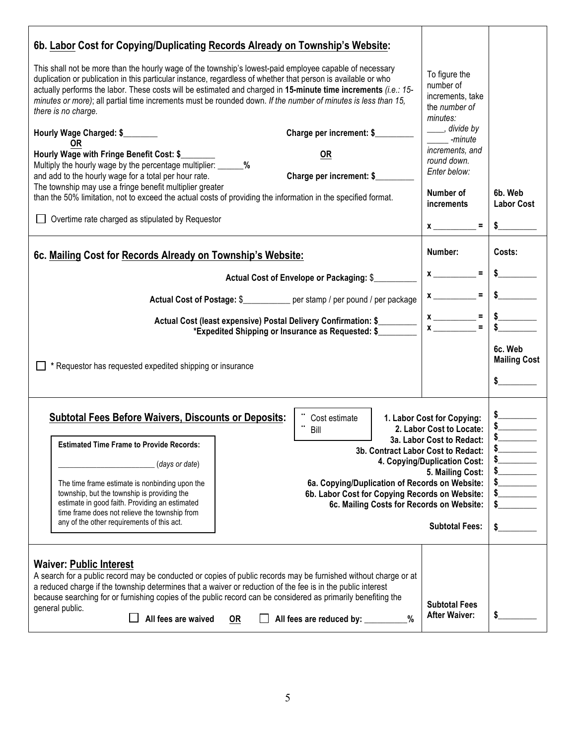| 6b. Labor Cost for Copying/Duplicating Records Already on Township's Website:                                                                                                                                                                                                                                                                                                                                                                                                      |                                                |   |                                                                             |                                          |
|------------------------------------------------------------------------------------------------------------------------------------------------------------------------------------------------------------------------------------------------------------------------------------------------------------------------------------------------------------------------------------------------------------------------------------------------------------------------------------|------------------------------------------------|---|-----------------------------------------------------------------------------|------------------------------------------|
| This shall not be more than the hourly wage of the township's lowest-paid employee capable of necessary<br>duplication or publication in this particular instance, regardless of whether that person is available or who<br>actually performs the labor. These costs will be estimated and charged in 15-minute time increments (i.e.: 15-<br>minutes or more); all partial time increments must be rounded down. If the number of minutes is less than 15,<br>there is no charge. |                                                |   | To figure the<br>number of<br>increments, take<br>the number of<br>minutes: |                                          |
| Hourly Wage Charged: \$                                                                                                                                                                                                                                                                                                                                                                                                                                                            | Charge per increment: \$                       |   | ____, divide by<br>-minute                                                  |                                          |
| OR<br>Hourly Wage with Fringe Benefit Cost: \$                                                                                                                                                                                                                                                                                                                                                                                                                                     | <b>OR</b>                                      |   | increments, and                                                             |                                          |
| Multiply the hourly wage by the percentage multiplier: _______%<br>and add to the hourly wage for a total per hour rate.                                                                                                                                                                                                                                                                                                                                                           | Charge per increment: \$                       |   | round down.<br>Enter below:                                                 |                                          |
| The township may use a fringe benefit multiplier greater                                                                                                                                                                                                                                                                                                                                                                                                                           |                                                |   | Number of                                                                   | 6b. Web                                  |
| than the 50% limitation, not to exceed the actual costs of providing the information in the specified format.                                                                                                                                                                                                                                                                                                                                                                      |                                                |   | <i>increments</i>                                                           | <b>Labor Cost</b>                        |
| □ Overtime rate charged as stipulated by Requestor                                                                                                                                                                                                                                                                                                                                                                                                                                 |                                                |   | $x \overline{\phantom{a}}$                                                  | $\frac{1}{2}$                            |
| 6c. Mailing Cost for Records Already on Township's Website:                                                                                                                                                                                                                                                                                                                                                                                                                        |                                                |   | Number:                                                                     | Costs:                                   |
|                                                                                                                                                                                                                                                                                                                                                                                                                                                                                    | Actual Cost of Envelope or Packaging: \$       |   | $x \overline{y}$                                                            |                                          |
| Actual Cost of Postage: \$____________ per stamp / per pound / per package                                                                                                                                                                                                                                                                                                                                                                                                         |                                                |   | $x \overline{\phantom{a}}$                                                  | $\frac{1}{2}$                            |
| Actual Cost (least expensive) Postal Delivery Confirmation: \$                                                                                                                                                                                                                                                                                                                                                                                                                     |                                                |   |                                                                             |                                          |
| *Expedited Shipping or Insurance as Requested: \$                                                                                                                                                                                                                                                                                                                                                                                                                                  |                                                |   | $x \overline{ )} =$                                                         |                                          |
| * Requestor has requested expedited shipping or insurance                                                                                                                                                                                                                                                                                                                                                                                                                          |                                                |   |                                                                             | 6c. Web<br><b>Mailing Cost</b><br>$\sim$ |
| <b>Subtotal Fees Before Waivers, Discounts or Deposits:</b>                                                                                                                                                                                                                                                                                                                                                                                                                        | Cost estimate<br>Bill                          |   | 1. Labor Cost for Copying:<br>2. Labor Cost to Locate:                      |                                          |
| <b>Estimated Time Frame to Provide Records:</b>                                                                                                                                                                                                                                                                                                                                                                                                                                    |                                                |   | 3a. Labor Cost to Redact:<br>3b. Contract Labor Cost to Redact:             | \$_                                      |
| (days or date)                                                                                                                                                                                                                                                                                                                                                                                                                                                                     |                                                |   | 4. Copying/Duplication Cost:                                                |                                          |
| The time frame estimate is nonbinding upon the                                                                                                                                                                                                                                                                                                                                                                                                                                     | 6a. Copying/Duplication of Records on Website: |   | 5. Mailing Cost:                                                            | $\frac{1}{2}$<br>s                       |
| township, but the township is providing the                                                                                                                                                                                                                                                                                                                                                                                                                                        | 6b. Labor Cost for Copying Records on Website: |   |                                                                             | s                                        |
| estimate in good faith. Providing an estimated<br>time frame does not relieve the township from                                                                                                                                                                                                                                                                                                                                                                                    |                                                |   | 6c. Mailing Costs for Records on Website:                                   | \$                                       |
| any of the other requirements of this act.                                                                                                                                                                                                                                                                                                                                                                                                                                         |                                                |   | <b>Subtotal Fees:</b>                                                       | \$                                       |
| <b>Waiver: Public Interest</b>                                                                                                                                                                                                                                                                                                                                                                                                                                                     |                                                |   |                                                                             |                                          |
| A search for a public record may be conducted or copies of public records may be furnished without charge or at<br>a reduced charge if the township determines that a waiver or reduction of the fee is in the public interest                                                                                                                                                                                                                                                     |                                                |   |                                                                             |                                          |
| because searching for or furnishing copies of the public record can be considered as primarily benefiting the<br>general public.                                                                                                                                                                                                                                                                                                                                                   |                                                |   | <b>Subtotal Fees</b>                                                        |                                          |
| All fees are waived<br><b>OR</b>                                                                                                                                                                                                                                                                                                                                                                                                                                                   | All fees are reduced by: _______               | % | <b>After Waiver:</b>                                                        | \$                                       |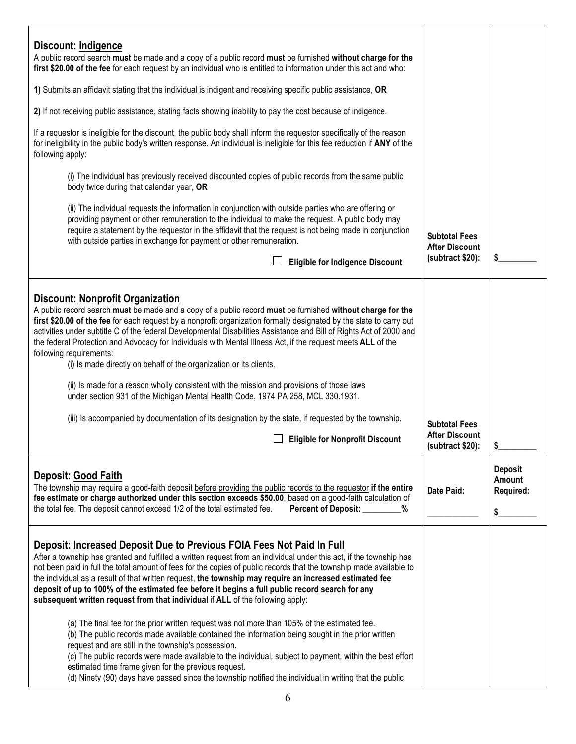| Discount: Indigence<br>A public record search must be made and a copy of a public record must be furnished without charge for the<br>first \$20.00 of the fee for each request by an individual who is entitled to information under this act and who:                                                                                                                                                                                                                                                                                                                                                              |                                               |                          |
|---------------------------------------------------------------------------------------------------------------------------------------------------------------------------------------------------------------------------------------------------------------------------------------------------------------------------------------------------------------------------------------------------------------------------------------------------------------------------------------------------------------------------------------------------------------------------------------------------------------------|-----------------------------------------------|--------------------------|
| 1) Submits an affidavit stating that the individual is indigent and receiving specific public assistance, OR                                                                                                                                                                                                                                                                                                                                                                                                                                                                                                        |                                               |                          |
| 2) If not receiving public assistance, stating facts showing inability to pay the cost because of indigence.                                                                                                                                                                                                                                                                                                                                                                                                                                                                                                        |                                               |                          |
| If a requestor is ineligible for the discount, the public body shall inform the requestor specifically of the reason<br>for ineligibility in the public body's written response. An individual is ineligible for this fee reduction if ANY of the<br>following apply:                                                                                                                                                                                                                                                                                                                                               |                                               |                          |
| (i) The individual has previously received discounted copies of public records from the same public<br>body twice during that calendar year, OR                                                                                                                                                                                                                                                                                                                                                                                                                                                                     |                                               |                          |
| (ii) The individual requests the information in conjunction with outside parties who are offering or<br>providing payment or other remuneration to the individual to make the request. A public body may<br>require a statement by the requestor in the affidavit that the request is not being made in conjunction<br>with outside parties in exchange for payment or other remuneration.                                                                                                                                                                                                                          | <b>Subtotal Fees</b><br><b>After Discount</b> |                          |
| <b>Eligible for Indigence Discount</b>                                                                                                                                                                                                                                                                                                                                                                                                                                                                                                                                                                              | (subtract \$20):                              | \$                       |
| <b>Discount: Nonprofit Organization</b><br>A public record search must be made and a copy of a public record must be furnished without charge for the<br>first \$20.00 of the fee for each request by a nonprofit organization formally designated by the state to carry out<br>activities under subtitle C of the federal Developmental Disabilities Assistance and Bill of Rights Act of 2000 and<br>the federal Protection and Advocacy for Individuals with Mental Illness Act, if the request meets ALL of the                                                                                                 |                                               |                          |
| following requirements:<br>(i) Is made directly on behalf of the organization or its clients.                                                                                                                                                                                                                                                                                                                                                                                                                                                                                                                       |                                               |                          |
| (ii) Is made for a reason wholly consistent with the mission and provisions of those laws<br>under section 931 of the Michigan Mental Health Code, 1974 PA 258, MCL 330.1931.                                                                                                                                                                                                                                                                                                                                                                                                                                       |                                               |                          |
| (iii) Is accompanied by documentation of its designation by the state, if requested by the township.                                                                                                                                                                                                                                                                                                                                                                                                                                                                                                                | <b>Subtotal Fees</b>                          |                          |
| <b>Eligible for Nonprofit Discount</b>                                                                                                                                                                                                                                                                                                                                                                                                                                                                                                                                                                              | <b>After Discount</b><br>(subtract \$20):     |                          |
| <b>Deposit: Good Faith</b>                                                                                                                                                                                                                                                                                                                                                                                                                                                                                                                                                                                          |                                               | <b>Deposit</b><br>Amount |
| The township may require a good-faith deposit before providing the public records to the requestor if the entire<br>fee estimate or charge authorized under this section exceeds \$50.00, based on a good-faith calculation of<br>the total fee. The deposit cannot exceed 1/2 of the total estimated fee.<br>Percent of Deposit: ________<br>%                                                                                                                                                                                                                                                                     |                                               | Required:                |
|                                                                                                                                                                                                                                                                                                                                                                                                                                                                                                                                                                                                                     |                                               | \$.                      |
| Deposit: Increased Deposit Due to Previous FOIA Fees Not Paid In Full<br>After a township has granted and fulfilled a written request from an individual under this act, if the township has<br>not been paid in full the total amount of fees for the copies of public records that the township made available to<br>the individual as a result of that written request, the township may require an increased estimated fee<br>deposit of up to 100% of the estimated fee before it begins a full public record search for any<br>subsequent written request from that individual if ALL of the following apply: |                                               |                          |
| (a) The final fee for the prior written request was not more than 105% of the estimated fee.<br>(b) The public records made available contained the information being sought in the prior written<br>request and are still in the township's possession.<br>(c) The public records were made available to the individual, subject to payment, within the best effort<br>estimated time frame given for the previous request.<br>(d) Ninety (90) days have passed since the township notified the individual in writing that the public                                                                              |                                               |                          |